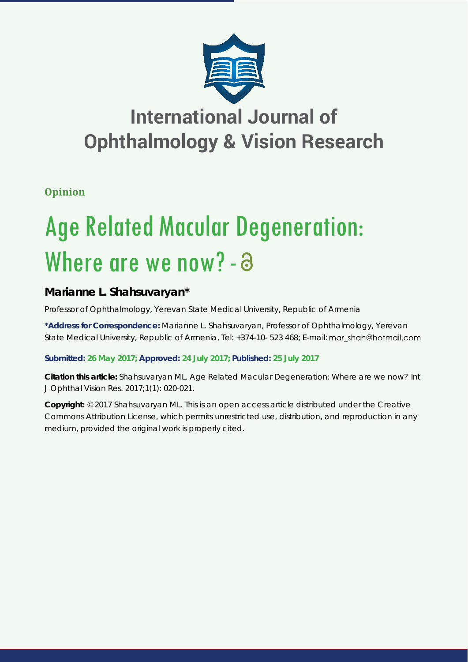

## **International Journal of Ophthalmology & Vision Research**

**Opinion**

# Age Related Macular Degeneration: Where are we now? - a

## **Marianne L. Shahsuvaryan\***

*Professor of Ophthalmology, Yerevan State Medical University, Republic of Armenia*

**\*Address for Correspondence:** Marianne L. Shahsuvaryan, Professor of Ophthalmology, Yerevan State Medical University, Republic of Armenia, Tel: +374-10- 523 468; E-mail: mar shah@hotmail.com

**Submitted: 26 May 2017; Approved: 24 July 2017; Published: 25 July 2017**

**Citation this article:** Shahsuvaryan ML. Age Related Macular Degeneration: Where are we now? Int J Ophthal Vision Res. 2017;1(1): 020-021.

**Copyright:** © 2017 Shahsuvaryan ML. This is an open access article distributed under the Creative Commons Attribution License, which permits unrestricted use, distribution, and reproduction in any medium, provided the original work is properly cited.